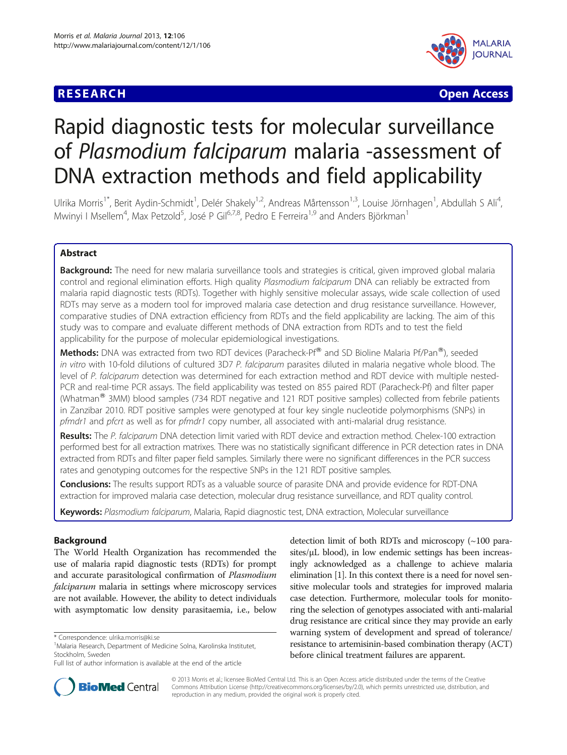## **RESEARCH CHEAR CHEAR CHEAR CHEAR CHEAR CHEAR CHEAR CHEAR CHEAR CHEAR CHEAR CHEAR CHEAR CHEAR CHEAR CHEAR CHEAR**



# Rapid diagnostic tests for molecular surveillance of Plasmodium falciparum malaria -assessment of DNA extraction methods and field applicability

Ulrika Morris<sup>1\*</sup>, Berit Aydin-Schmidt<sup>1</sup>, Delér Shakely<sup>1,2</sup>, Andreas Mårtensson<sup>1,3</sup>, Louise Jörnhagen<sup>1</sup>, Abdullah S Ali<sup>4</sup> , Mwinyi I Msellem<sup>4</sup>, Max Petzold<sup>5</sup>, José P Gil<sup>6,7,8</sup>, Pedro E Ferreira<sup>1,9</sup> and Anders Björkman<sup>1</sup>

## Abstract

**Background:** The need for new malaria surveillance tools and strategies is critical, given improved global malaria control and regional elimination efforts. High quality Plasmodium falciparum DNA can reliably be extracted from malaria rapid diagnostic tests (RDTs). Together with highly sensitive molecular assays, wide scale collection of used RDTs may serve as a modern tool for improved malaria case detection and drug resistance surveillance. However, comparative studies of DNA extraction efficiency from RDTs and the field applicability are lacking. The aim of this study was to compare and evaluate different methods of DNA extraction from RDTs and to test the field applicability for the purpose of molecular epidemiological investigations.

Methods: DNA was extracted from two RDT devices (Paracheck-Pf® and SD Bioline Malaria Pf/Pan®), seeded in vitro with 10-fold dilutions of cultured 3D7 P. falciparum parasites diluted in malaria negative whole blood. The level of P. falciparum detection was determined for each extraction method and RDT device with multiple nested-PCR and real-time PCR assays. The field applicability was tested on 855 paired RDT (Paracheck-Pf) and filter paper (Whatman<sup>®</sup> 3MM) blood samples (734 RDT negative and 121 RDT positive samples) collected from febrile patients in Zanzibar 2010. RDT positive samples were genotyped at four key single nucleotide polymorphisms (SNPs) in pfmdr1 and pfcrt as well as for pfmdr1 copy number, all associated with anti-malarial drug resistance.

Results: The P. falciparum DNA detection limit varied with RDT device and extraction method. Chelex-100 extraction performed best for all extraction matrixes. There was no statistically significant difference in PCR detection rates in DNA extracted from RDTs and filter paper field samples. Similarly there were no significant differences in the PCR success rates and genotyping outcomes for the respective SNPs in the 121 RDT positive samples.

**Conclusions:** The results support RDTs as a valuable source of parasite DNA and provide evidence for RDT-DNA extraction for improved malaria case detection, molecular drug resistance surveillance, and RDT quality control.

Keywords: Plasmodium falciparum, Malaria, Rapid diagnostic test, DNA extraction, Molecular surveillance

## Background

The World Health Organization has recommended the use of malaria rapid diagnostic tests (RDTs) for prompt and accurate parasitological confirmation of Plasmodium falciparum malaria in settings where microscopy services are not available. However, the ability to detect individuals with asymptomatic low density parasitaemia, i.e., below

detection limit of both RDTs and microscopy (~100 parasites/μL blood), in low endemic settings has been increasingly acknowledged as a challenge to achieve malaria elimination [[1](#page-5-0)]. In this context there is a need for novel sensitive molecular tools and strategies for improved malaria case detection. Furthermore, molecular tools for monitoring the selection of genotypes associated with anti-malarial drug resistance are critical since they may provide an early warning system of development and spread of tolerance/ resistance to artemisinin-based combination therapy (ACT) before clinical treatment failures are apparent.



© 2013 Morris et al.; licensee BioMed Central Ltd. This is an Open Access article distributed under the terms of the Creative Commons Attribution License [\(http://creativecommons.org/licenses/by/2.0\)](http://creativecommons.org/licenses/by/2.0), which permits unrestricted use, distribution, and reproduction in any medium, provided the original work is properly cited.

<sup>\*</sup> Correspondence: [ulrika.morris@ki.se](mailto:ulrika.morris@ki.se) <sup>1</sup>

<sup>&</sup>lt;sup>1</sup> Malaria Research, Department of Medicine Solna, Karolinska Institutet, Stockholm, Sweden

Full list of author information is available at the end of the article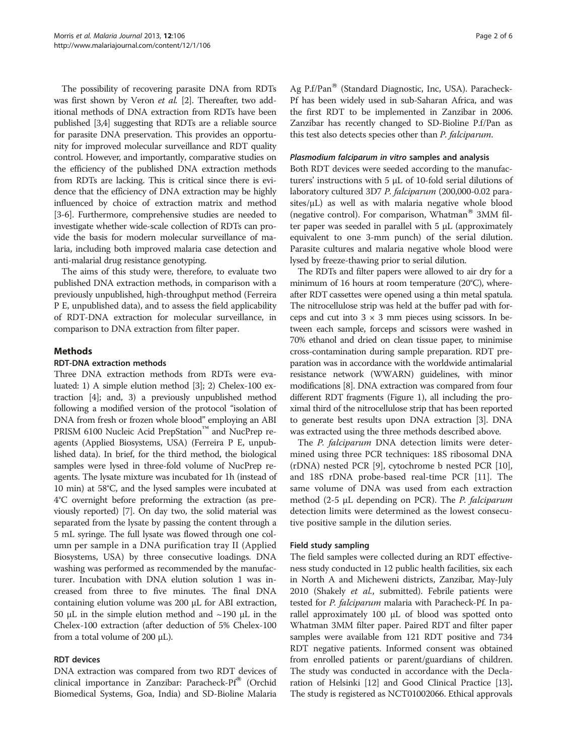The possibility of recovering parasite DNA from RDTs was first shown by Veron et al. [[2\]](#page-5-0). Thereafter, two additional methods of DNA extraction from RDTs have been published [\[3,4\]](#page-5-0) suggesting that RDTs are a reliable source for parasite DNA preservation. This provides an opportunity for improved molecular surveillance and RDT quality control. However, and importantly, comparative studies on the efficiency of the published DNA extraction methods from RDTs are lacking. This is critical since there is evidence that the efficiency of DNA extraction may be highly influenced by choice of extraction matrix and method [[3-6\]](#page-5-0). Furthermore, comprehensive studies are needed to investigate whether wide-scale collection of RDTs can provide the basis for modern molecular surveillance of malaria, including both improved malaria case detection and anti-malarial drug resistance genotyping.

The aims of this study were, therefore, to evaluate two published DNA extraction methods, in comparison with a previously unpublished, high-throughput method (Ferreira P E, unpublished data), and to assess the field applicability of RDT-DNA extraction for molecular surveillance, in comparison to DNA extraction from filter paper.

## Methods

### RDT-DNA extraction methods

Three DNA extraction methods from RDTs were evaluated: 1) A simple elution method [\[3\]](#page-5-0); 2) Chelex-100 extraction [\[4](#page-5-0)]; and, 3) a previously unpublished method following a modified version of the protocol "isolation of DNA from fresh or frozen whole blood" employing an ABI PRISM 6100 Nucleic Acid PrepStation™ and NucPrep reagents (Applied Biosystems, USA) (Ferreira P E, unpublished data). In brief, for the third method, the biological samples were lysed in three-fold volume of NucPrep reagents. The lysate mixture was incubated for 1h (instead of 10 min) at 58°C, and the lysed samples were incubated at 4°C overnight before preforming the extraction (as previously reported) [[7](#page-5-0)]. On day two, the solid material was separated from the lysate by passing the content through a 5 mL syringe. The full lysate was flowed through one column per sample in a DNA purification tray II (Applied Biosystems, USA) by three consecutive loadings. DNA washing was performed as recommended by the manufacturer. Incubation with DNA elution solution 1 was increased from three to five minutes. The final DNA containing elution volume was 200 μL for ABI extraction, 50 μL in the simple elution method and ~190 μL in the Chelex-100 extraction (after deduction of 5% Chelex-100 from a total volume of 200 μL).

### RDT devices

DNA extraction was compared from two RDT devices of clinical importance in Zanzibar: Paracheck-Pf® (Orchid Biomedical Systems, Goa, India) and SD-Bioline Malaria

Ag P.f/Pan<sup>®</sup> (Standard Diagnostic, Inc, USA). Paracheck-Pf has been widely used in sub-Saharan Africa, and was the first RDT to be implemented in Zanzibar in 2006. Zanzibar has recently changed to SD-Bioline P.f/Pan as this test also detects species other than *P. falciparum*.

#### Plasmodium falciparum in vitro samples and analysis

Both RDT devices were seeded according to the manufacturers' instructions with 5 μL of 10-fold serial dilutions of laboratory cultured 3D7 P. falciparum (200,000-0.02 parasites/ $\mu$ L) as well as with malaria negative whole blood (negative control). For comparison, Whatman<sup>®</sup> 3MM filter paper was seeded in parallel with 5 μL (approximately equivalent to one 3-mm punch) of the serial dilution. Parasite cultures and malaria negative whole blood were lysed by freeze-thawing prior to serial dilution.

The RDTs and filter papers were allowed to air dry for a minimum of 16 hours at room temperature (20°C), whereafter RDT cassettes were opened using a thin metal spatula. The nitrocellulose strip was held at the buffer pad with forceps and cut into  $3 \times 3$  mm pieces using scissors. In between each sample, forceps and scissors were washed in 70% ethanol and dried on clean tissue paper, to minimise cross-contamination during sample preparation. RDT preparation was in accordance with the worldwide antimalarial resistance network (WWARN) guidelines, with minor modifications [\[8](#page-5-0)]. DNA extraction was compared from four different RDT fragments (Figure [1](#page-2-0)), all including the proximal third of the nitrocellulose strip that has been reported to generate best results upon DNA extraction [\[3\]](#page-5-0). DNA was extracted using the three methods described above.

The *P. falciparum* DNA detection limits were determined using three PCR techniques: 18S ribosomal DNA (rDNA) nested PCR [[9\]](#page-5-0), cytochrome b nested PCR [\[10](#page-5-0)], and 18S rDNA probe-based real-time PCR [[11\]](#page-5-0). The same volume of DNA was used from each extraction method  $(2-5 \mu L)$  depending on PCR). The *P. falciparum* detection limits were determined as the lowest consecutive positive sample in the dilution series.

#### Field study sampling

The field samples were collected during an RDT effectiveness study conducted in 12 public health facilities, six each in North A and Micheweni districts, Zanzibar, May-July 2010 (Shakely et al., submitted). Febrile patients were tested for *P. falciparum* malaria with Paracheck-Pf. In parallel approximately 100 μL of blood was spotted onto Whatman 3MM filter paper. Paired RDT and filter paper samples were available from 121 RDT positive and 734 RDT negative patients. Informed consent was obtained from enrolled patients or parent/guardians of children. The study was conducted in accordance with the Declaration of Helsinki [\[12\]](#page-5-0) and Good Clinical Practice [[13](#page-5-0)]. The study is registered as [NCT01002066](http://clinicaltrials.gov/show/NCT01002066). Ethical approvals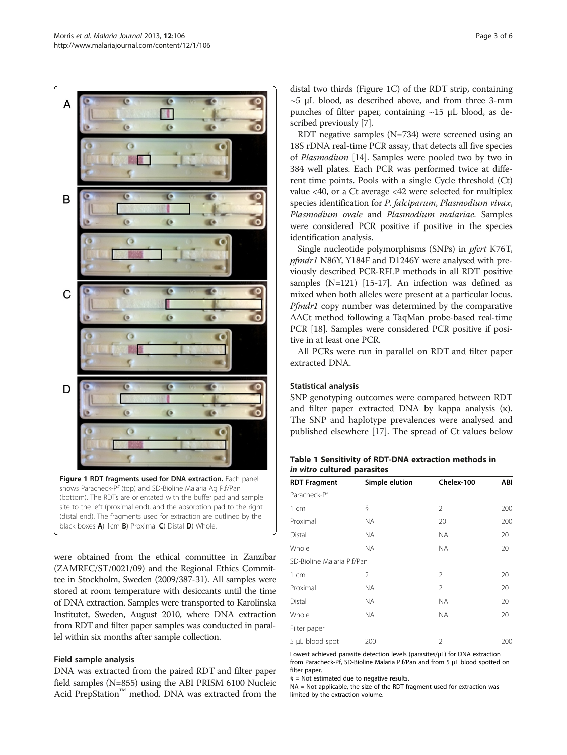<span id="page-2-0"></span>

black boxes A) 1cm B) Proximal C) Distal D) Whole.

were obtained from the ethical committee in Zanzibar (ZAMREC/ST/0021/09) and the Regional Ethics Committee in Stockholm, Sweden (2009/387-31). All samples were stored at room temperature with desiccants until the time of DNA extraction. Samples were transported to Karolinska Institutet, Sweden, August 2010, where DNA extraction from RDT and filter paper samples was conducted in parallel within six months after sample collection.

### Field sample analysis

DNA was extracted from the paired RDT and filter paper field samples (N=855) using the ABI PRISM 6100 Nucleic Acid PrepStation™ method. DNA was extracted from the distal two thirds (Figure 1C) of the RDT strip, containing  $\sim$ 5 μL blood, as described above, and from three 3-mm punches of filter paper, containing ~15 μL blood, as described previously [\[7](#page-5-0)].

RDT negative samples (N=734) were screened using an 18S rDNA real-time PCR assay, that detects all five species of Plasmodium [\[14\]](#page-5-0). Samples were pooled two by two in 384 well plates. Each PCR was performed twice at different time points. Pools with a single Cycle threshold (Ct) value <40, or a Ct average <42 were selected for multiplex species identification for P. falciparum, Plasmodium vivax, Plasmodium ovale and Plasmodium malariae. Samples were considered PCR positive if positive in the species identification analysis.

Single nucleotide polymorphisms (SNPs) in *pfcrt* K76T, pfmdr1 N86Y, Y184F and D1246Y were analysed with previously described PCR-RFLP methods in all RDT positive samples (N=121) [[15-17\]](#page-5-0). An infection was defined as mixed when both alleles were present at a particular locus. Pfmdr1 copy number was determined by the comparative ΔΔCt method following a TaqMan probe-based real-time PCR [\[18](#page-5-0)]. Samples were considered PCR positive if positive in at least one PCR.

All PCRs were run in parallel on RDT and filter paper extracted DNA.

#### Statistical analysis

SNP genotyping outcomes were compared between RDT and filter paper extracted DNA by kappa analysis (κ). The SNP and haplotype prevalences were analysed and published elsewhere [[17\]](#page-5-0). The spread of Ct values below

| Table 1 Sensitivity of RDT-DNA extraction methods in |  |  |
|------------------------------------------------------|--|--|
| <i>in vitro</i> cultured parasites                   |  |  |

| <b>RDT Fragment</b>        | Simple elution | Chelex-100     | ABI |
|----------------------------|----------------|----------------|-----|
| Paracheck-Pf               |                |                |     |
| $1 \text{ cm}$             | ş              | $\mathfrak{D}$ | 200 |
| Proximal                   | NA.            | 20             | 200 |
| Distal                     | NA.            | NA.            | 20  |
| Whole                      | NA.            | NA.            | 20  |
| SD-Bioline Malaria P.f/Pan |                |                |     |
| 1 cm                       | 2              | $\overline{2}$ | 20  |
| Proximal                   | NA.            | 2              | 20  |
| Distal                     | NA.            | <b>NA</b>      | 20  |
| Whole                      | NA.            | <b>NA</b>      | 20  |
| Filter paper               |                |                |     |
| 5 µL blood spot            | 200            | 2              | 200 |

Lowest achieved parasite detection levels (parasites/μL) for DNA extraction from Paracheck-Pf, SD-Bioline Malaria P.f/Pan and from 5 μL blood spotted on filter paper.

§ = Not estimated due to negative results.

NA = Not applicable, the size of the RDT fragment used for extraction was limited by the extraction volume.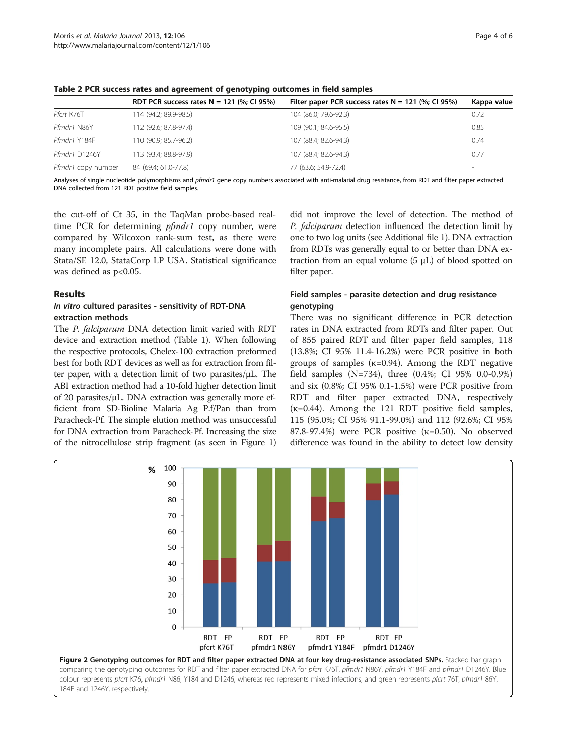|                    | RDT PCR success rates $N = 121$ (%; CI 95%) | Filter paper PCR success rates $N = 121$ (%; CI 95%) | Kappa value |
|--------------------|---------------------------------------------|------------------------------------------------------|-------------|
| Pfcrt K76T         | 114 (94.2; 89.9-98.5)                       | 104 (86.0; 79.6-92.3)                                | 0.72        |
| Pfmdr1 N86Y        | 112 (92.6; 87.8-97.4)                       | 109 (90.1; 84.6-95.5)                                | 0.85        |
| Pfmdr1 Y184F       | 110 (90.9; 85.7-96.2)                       | 107 (88.4; 82.6-94.3)                                | 0.74        |
| Pfmdr1 D1246Y      | 113 (93.4; 88.8-97.9)                       | 107 (88.4; 82.6-94.3)                                | 0.77        |
| Pfmdr1 copy number | 84 (69.4; 61.0-77.8)                        | 77 (63.6; 54.9-72.4)                                 | -           |

<span id="page-3-0"></span>Table 2 PCR success rates and agreement of genotyping outcomes in field samples

Analyses of single nucleotide polymorphisms and pfmdr1 gene copy numbers associated with anti-malarial drug resistance, from RDT and filter paper extracted DNA collected from 121 RDT positive field samples.

the cut-off of Ct 35, in the TaqMan probe-based realtime PCR for determining *pfmdr1* copy number, were compared by Wilcoxon rank-sum test, as there were many incomplete pairs. All calculations were done with Stata/SE 12.0, StataCorp LP USA. Statistical significance was defined as  $p<0.05$ .

#### Results

## In vitro cultured parasites - sensitivity of RDT-DNA extraction methods

The P. falciparum DNA detection limit varied with RDT device and extraction method (Table [1](#page-2-0)). When following the respective protocols, Chelex-100 extraction preformed best for both RDT devices as well as for extraction from filter paper, with a detection limit of two parasites/μL. The ABI extraction method had a 10-fold higher detection limit of 20 parasites/μL. DNA extraction was generally more efficient from SD-Bioline Malaria Ag P.f/Pan than from Paracheck-Pf. The simple elution method was unsuccessful for DNA extraction from Paracheck-Pf. Increasing the size of the nitrocellulose strip fragment (as seen in Figure [1](#page-2-0))

did not improve the level of detection. The method of P. falciparum detection influenced the detection limit by one to two log units (see Additional file [1](#page-4-0)). DNA extraction from RDTs was generally equal to or better than DNA extraction from an equal volume  $(5 \mu L)$  of blood spotted on filter paper.

## Field samples - parasite detection and drug resistance genotyping

There was no significant difference in PCR detection rates in DNA extracted from RDTs and filter paper. Out of 855 paired RDT and filter paper field samples, 118 (13.8%; CI 95% 11.4-16.2%) were PCR positive in both groups of samples ( $\kappa$ =0.94). Among the RDT negative field samples (N=734), three (0.4%; CI 95% 0.0-0.9%) and six (0.8%; CI 95% 0.1-1.5%) were PCR positive from RDT and filter paper extracted DNA, respectively  $(k=0.44)$ . Among the 121 RDT positive field samples, 115 (95.0%; CI 95% 91.1-99.0%) and 112 (92.6%; CI 95% 87.8-97.4%) were PCR positive (κ=0.50). No observed difference was found in the ability to detect low density

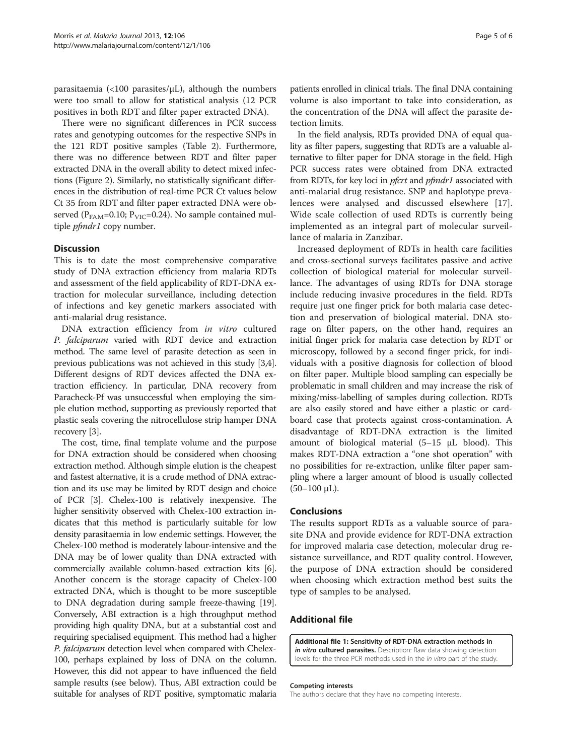<span id="page-4-0"></span>parasitaemia (<100 parasites/ $\mu$ L), although the numbers were too small to allow for statistical analysis (12 PCR positives in both RDT and filter paper extracted DNA).

There were no significant differences in PCR success rates and genotyping outcomes for the respective SNPs in the 121 RDT positive samples (Table [2\)](#page-3-0). Furthermore, there was no difference between RDT and filter paper extracted DNA in the overall ability to detect mixed infections (Figure [2](#page-3-0)). Similarly, no statistically significant differences in the distribution of real-time PCR Ct values below Ct 35 from RDT and filter paper extracted DNA were observed ( $P_{FAM}$ =0.10;  $P_{VIC}$ =0.24). No sample contained multiple *pfmdr1* copy number.

#### **Discussion**

This is to date the most comprehensive comparative study of DNA extraction efficiency from malaria RDTs and assessment of the field applicability of RDT-DNA extraction for molecular surveillance, including detection of infections and key genetic markers associated with anti-malarial drug resistance.

DNA extraction efficiency from in vitro cultured P. falciparum varied with RDT device and extraction method. The same level of parasite detection as seen in previous publications was not achieved in this study [[3,4](#page-5-0)]. Different designs of RDT devices affected the DNA extraction efficiency. In particular, DNA recovery from Paracheck-Pf was unsuccessful when employing the simple elution method, supporting as previously reported that plastic seals covering the nitrocellulose strip hamper DNA recovery [\[3](#page-5-0)].

The cost, time, final template volume and the purpose for DNA extraction should be considered when choosing extraction method. Although simple elution is the cheapest and fastest alternative, it is a crude method of DNA extraction and its use may be limited by RDT design and choice of PCR [\[3](#page-5-0)]. Chelex-100 is relatively inexpensive. The higher sensitivity observed with Chelex-100 extraction indicates that this method is particularly suitable for low density parasitaemia in low endemic settings. However, the Chelex-100 method is moderately labour-intensive and the DNA may be of lower quality than DNA extracted with commercially available column-based extraction kits [[6](#page-5-0)]. Another concern is the storage capacity of Chelex-100 extracted DNA, which is thought to be more susceptible to DNA degradation during sample freeze-thawing [[19](#page-5-0)]. Conversely, ABI extraction is a high throughput method providing high quality DNA, but at a substantial cost and requiring specialised equipment. This method had a higher P. falciparum detection level when compared with Chelex-100, perhaps explained by loss of DNA on the column. However, this did not appear to have influenced the field sample results (see below). Thus, ABI extraction could be suitable for analyses of RDT positive, symptomatic malaria

patients enrolled in clinical trials. The final DNA containing volume is also important to take into consideration, as the concentration of the DNA will affect the parasite detection limits.

In the field analysis, RDTs provided DNA of equal quality as filter papers, suggesting that RDTs are a valuable alternative to filter paper for DNA storage in the field. High PCR success rates were obtained from DNA extracted from RDTs, for key loci in *pfcrt* and *pfmdr1* associated with anti-malarial drug resistance. SNP and haplotype prevalences were analysed and discussed elsewhere [\[17](#page-5-0)]. Wide scale collection of used RDTs is currently being implemented as an integral part of molecular surveillance of malaria in Zanzibar.

Increased deployment of RDTs in health care facilities and cross-sectional surveys facilitates passive and active collection of biological material for molecular surveillance. The advantages of using RDTs for DNA storage include reducing invasive procedures in the field. RDTs require just one finger prick for both malaria case detection and preservation of biological material. DNA storage on filter papers, on the other hand, requires an initial finger prick for malaria case detection by RDT or microscopy, followed by a second finger prick, for individuals with a positive diagnosis for collection of blood on filter paper. Multiple blood sampling can especially be problematic in small children and may increase the risk of mixing/miss-labelling of samples during collection. RDTs are also easily stored and have either a plastic or cardboard case that protects against cross-contamination. A disadvantage of RDT-DNA extraction is the limited amount of biological material (5–15 μL blood). This makes RDT-DNA extraction a "one shot operation" with no possibilities for re-extraction, unlike filter paper sampling where a larger amount of blood is usually collected  $(50-100 \mu L)$ .

#### Conclusions

The results support RDTs as a valuable source of parasite DNA and provide evidence for RDT-DNA extraction for improved malaria case detection, molecular drug resistance surveillance, and RDT quality control. However, the purpose of DNA extraction should be considered when choosing which extraction method best suits the type of samples to be analysed.

## Additional file

[Additional file 1:](http://www.biomedcentral.com/content/supplementary/1475-2875-12-106-S1.pdf) Sensitivity of RDT-DNA extraction methods in in vitro cultured parasites. Description: Raw data showing detection levels for the three PCR methods used in the in vitro part of the study.

#### Competing interests

The authors declare that they have no competing interests.